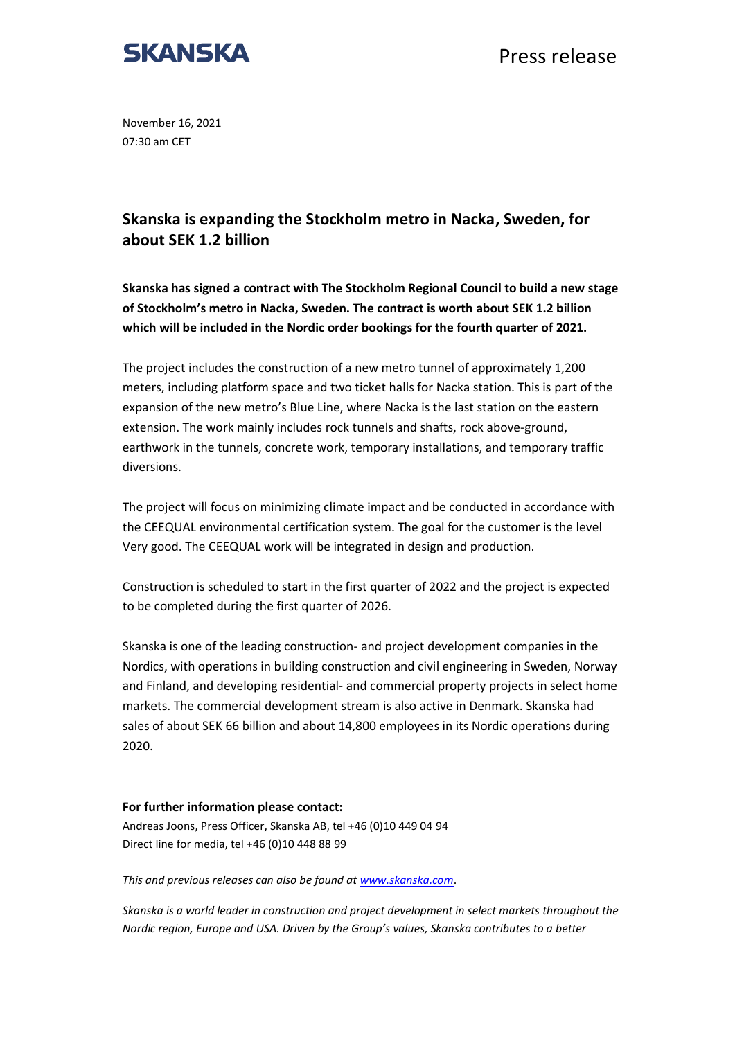

Press release

November 16, 2021 07:30 am CET

## **Skanska is expanding the Stockholm metro in Nacka, Sweden, for about SEK 1.2 billion**

**Skanska has signed a contract with The Stockholm Regional Council to build a new stage of Stockholm's metro in Nacka, Sweden. The contract is worth about SEK 1.2 billion which will be included in the Nordic order bookings for the fourth quarter of 2021.**

The project includes the construction of a new metro tunnel of approximately 1,200 meters, including platform space and two ticket halls for Nacka station. This is part of the expansion of the new metro's Blue Line, where Nacka is the last station on the eastern extension. The work mainly includes rock tunnels and shafts, rock above-ground, earthwork in the tunnels, concrete work, temporary installations, and temporary traffic diversions.

The project will focus on minimizing climate impact and be conducted in accordance with the CEEQUAL environmental certification system. The goal for the customer is the level Very good. The CEEQUAL work will be integrated in design and production.

Construction is scheduled to start in the first quarter of 2022 and the project is expected to be completed during the first quarter of 2026.

Skanska is one of the leading construction- and project development companies in the Nordics, with operations in building construction and civil engineering in Sweden, Norway and Finland, and developing residential- and commercial property projects in select home markets. The commercial development stream is also active in Denmark. Skanska had sales of about SEK 66 billion and about 14,800 employees in its Nordic operations during 2020.

## **For further information please contact:**

Andreas Joons, Press Officer, Skanska AB, tel +46 (0)10 449 04 94 Direct line for media, tel +46 (0)10 448 88 99

*This and previous releases can also be found at [www.skanska.com](http://www.skanska.com/)*.

*Skanska is a world leader in construction and project development in select markets throughout the Nordic region, Europe and USA. Driven by the Group's values, Skanska contributes to a better*